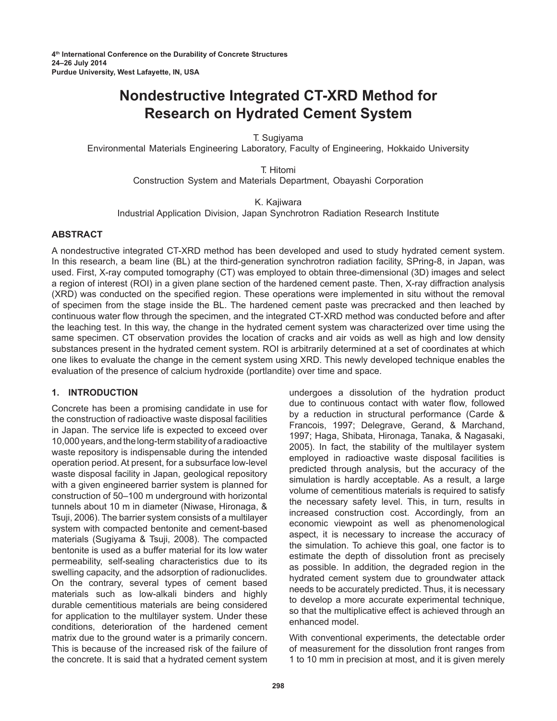# **Nondestructive Integrated CT-XRD Method for Research on Hydrated Cement System**

T. Sugiyama

Environmental Materials Engineering Laboratory, Faculty of Engineering, Hokkaido University

T. Hitomi

Construction System and Materials Department, Obayashi Corporation

K. Kajiwara

Industrial Application Division, Japan Synchrotron Radiation Research Institute

# **Abstract**

A nondestructive integrated CT-XRD method has been developed and used to study hydrated cement system. In this research, a beam line (BL) at the third-generation synchrotron radiation facility, SPring-8, in Japan, was used. First, X-ray computed tomography (CT) was employed to obtain three-dimensional (3D) images and select a region of interest (ROI) in a given plane section of the hardened cement paste. Then, X-ray diffraction analysis (XRD) was conducted on the specified region. These operations were implemented in situ without the removal of specimen from the stage inside the BL. The hardened cement paste was precracked and then leached by continuous water flow through the specimen, and the integrated CT-XRD method was conducted before and after the leaching test. In this way, the change in the hydrated cement system was characterized over time using the same specimen. CT observation provides the location of cracks and air voids as well as high and low density substances present in the hydrated cement system. ROI is arbitrarily determined at a set of coordinates at which one likes to evaluate the change in the cement system using XRD. This newly developed technique enables the evaluation of the presence of calcium hydroxide (portlandite) over time and space.

# **1. INTRODUCTION**

Concrete has been a promising candidate in use for the construction of radioactive waste disposal facilities in Japan. The service life is expected to exceed over 10,000 years, and the long-term stability of a radioactive waste repository is indispensable during the intended operation period. At present, for a subsurface low-level waste disposal facility in Japan, geological repository with a given engineered barrier system is planned for construction of 50–100 m underground with horizontal tunnels about 10 m in diameter (Niwase, Hironaga, & Tsuji, 2006). The barrier system consists of a multilayer system with compacted bentonite and cement-based materials (Sugiyama & Tsuji, 2008). The compacted bentonite is used as a buffer material for its low water permeability, self-sealing characteristics due to its swelling capacity, and the adsorption of radionuclides. On the contrary, several types of cement based materials such as low-alkali binders and highly durable cementitious materials are being considered for application to the multilayer system. Under these conditions, deterioration of the hardened cement matrix due to the ground water is a primarily concern. This is because of the increased risk of the failure of the concrete. It is said that a hydrated cement system

undergoes a dissolution of the hydration product due to continuous contact with water flow, followed by a reduction in structural performance (Carde & Francois, 1997; Delegrave, Gerand, & Marchand, 1997; Haga, Shibata, Hironaga, Tanaka, & Nagasaki, 2005). In fact, the stability of the multilayer system employed in radioactive waste disposal facilities is predicted through analysis, but the accuracy of the simulation is hardly acceptable. As a result, a large volume of cementitious materials is required to satisfy the necessary safety level. This, in turn, results in increased construction cost. Accordingly, from an economic viewpoint as well as phenomenological aspect, it is necessary to increase the accuracy of the simulation. To achieve this goal, one factor is to estimate the depth of dissolution front as precisely as possible. In addition, the degraded region in the hydrated cement system due to groundwater attack needs to be accurately predicted. Thus, it is necessary to develop a more accurate experimental technique, so that the multiplicative effect is achieved through an enhanced model.

With conventional experiments, the detectable order of measurement for the dissolution front ranges from 1 to 10 mm in precision at most, and it is given merely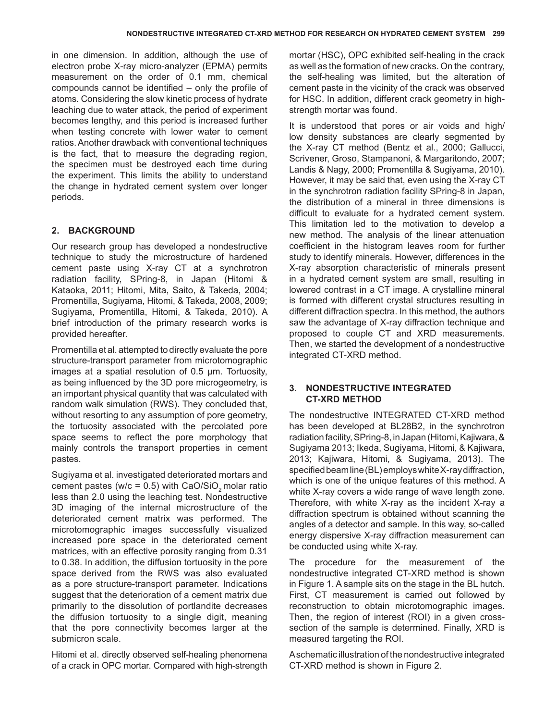in one dimension. In addition, although the use of electron probe X-ray micro-analyzer (EPMA) permits measurement on the order of 0.1 mm, chemical compounds cannot be identified – only the profile of atoms. Considering the slow kinetic process of hydrate leaching due to water attack, the period of experiment becomes lengthy, and this period is increased further when testing concrete with lower water to cement ratios. Another drawback with conventional techniques is the fact, that to measure the degrading region, the specimen must be destroyed each time during the experiment. This limits the ability to understand the change in hydrated cement system over longer periods.

# **2. BACKGROUND**

Our research group has developed a nondestructive technique to study the microstructure of hardened cement paste using X-ray CT at a synchrotron radiation facility, SPring-8, in Japan (Hitomi & Kataoka, 2011; Hitomi, Mita, Saito, & Takeda, 2004; Promentilla, Sugiyama, Hitomi, & Takeda, 2008, 2009; Sugiyama, Promentilla, Hitomi, & Takeda, 2010). A brief introduction of the primary research works is provided hereafter.

Promentilla et al. attempted to directly evaluate the pore structure-transport parameter from microtomographic images at a spatial resolution of 0.5 µm. Tortuosity, as being influenced by the 3D pore microgeometry, is an important physical quantity that was calculated with random walk simulation (RWS). They concluded that, without resorting to any assumption of pore geometry, the tortuosity associated with the percolated pore space seems to reflect the pore morphology that mainly controls the transport properties in cement pastes.

Sugiyama et al. investigated deteriorated mortars and cement pastes (w/c =  $0.5$ ) with CaO/SiO<sub>2</sub> molar ratio less than 2.0 using the leaching test. Nondestructive 3D imaging of the internal microstructure of the deteriorated cement matrix was performed. The microtomographic images successfully visualized increased pore space in the deteriorated cement matrices, with an effective porosity ranging from 0.31 to 0.38. In addition, the diffusion tortuosity in the pore space derived from the RWS was also evaluated as a pore structure-transport parameter. Indications suggest that the deterioration of a cement matrix due primarily to the dissolution of portlandite decreases the diffusion tortuosity to a single digit, meaning that the pore connectivity becomes larger at the submicron scale.

Hitomi et al. directly observed self-healing phenomena of a crack in OPC mortar. Compared with high-strength mortar (HSC), OPC exhibited self-healing in the crack as well as the formation of new cracks. On the contrary, the self-healing was limited, but the alteration of cement paste in the vicinity of the crack was observed for HSC. In addition, different crack geometry in highstrength mortar was found.

It is understood that pores or air voids and high/ low density substances are clearly segmented by the X-ray CT method (Bentz et al., 2000; Gallucci, Scrivener, Groso, Stampanoni, & Margaritondo, 2007; Landis & Nagy, 2000; Promentilla & Sugiyama, 2010). However, it may be said that, even using the X-ray CT in the synchrotron radiation facility SPring-8 in Japan, the distribution of a mineral in three dimensions is difficult to evaluate for a hydrated cement system. This limitation led to the motivation to develop a new method. The analysis of the linear attenuation coefficient in the histogram leaves room for further study to identify minerals. However, differences in the X-ray absorption characteristic of minerals present in a hydrated cement system are small, resulting in lowered contrast in a CT image. A crystalline mineral is formed with different crystal structures resulting in different diffraction spectra. In this method, the authors saw the advantage of X-ray diffraction technique and proposed to couple CT and XRD measurements. Then, we started the development of a nondestructive integrated CT-XRD method.

## **3. NONDESTRUCTIVE INTEGRATED CT-XRD METHOD**

The nondestructive INTEGRATED CT-XRD method has been developed at BL28B2, in the synchrotron radiation facility, SPring-8, in Japan (Hitomi, Kajiwara, & Sugiyama 2013; Ikeda, Sugiyama, Hitomi, & Kajiwara, 2013; Kajiwara, Hitomi, & Sugiyama, 2013). The specified beam line (BL) employs white X-ray diffraction, which is one of the unique features of this method. A white X-ray covers a wide range of wave length zone. Therefore, with white X-ray as the incident X-ray a diffraction spectrum is obtained without scanning the angles of a detector and sample. In this way, so-called energy dispersive X-ray diffraction measurement can be conducted using white X-ray.

The procedure for the measurement of the nondestructive integrated CT-XRD method is shown in Figure 1. A sample sits on the stage in the BL hutch. First, CT measurement is carried out followed by reconstruction to obtain microtomographic images. Then, the region of interest (ROI) in a given crosssection of the sample is determined. Finally, XRD is measured targeting the ROI.

A schematic illustration of the nondestructive integrated CT-XRD method is shown in Figure 2.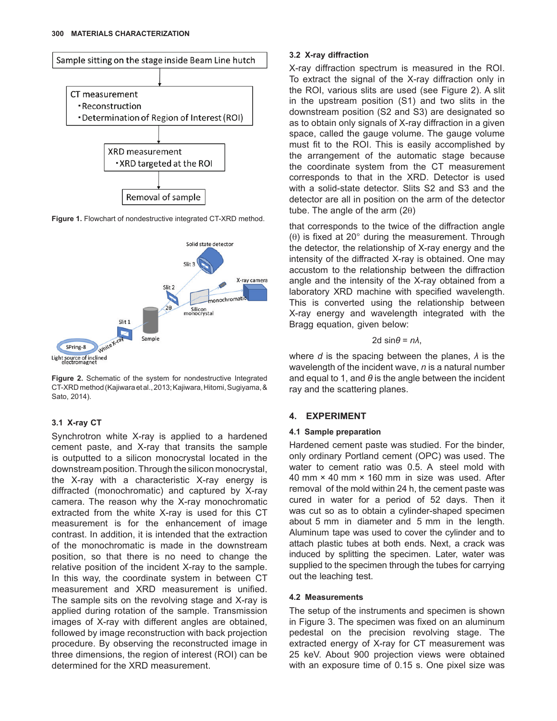

Figure 1. Flowchart of nondestructive integrated CT-XRD method.



**Figure 2.** Schematic of the system for nondestructive Integrated CT-XRD method (Kajiwara et al., 2013; Kajiwara, Hitomi, Sugiyama, & Sato, 2014).

## **3.1 X-ray CT**

Synchrotron white X-ray is applied to a hardened cement paste, and X-ray that transits the sample is outputted to a silicon monocrystal located in the downstream position. Through the silicon monocrystal, the X-ray with a characteristic X-ray energy is diffracted (monochromatic) and captured by X-ray camera. The reason why the X-ray monochromatic extracted from the white X-ray is used for this CT measurement is for the enhancement of image contrast. In addition, it is intended that the extraction of the monochromatic is made in the downstream position, so that there is no need to change the relative position of the incident X-ray to the sample. In this way, the coordinate system in between CT measurement and XRD measurement is unified. The sample sits on the revolving stage and X-ray is applied during rotation of the sample. Transmission images of X-ray with different angles are obtained, followed by image reconstruction with back projection procedure. By observing the reconstructed image in three dimensions, the region of interest (ROI) can be determined for the XRD measurement.

## **3.2 X-ray diffraction**

X-ray diffraction spectrum is measured in the ROI. To extract the signal of the X-ray diffraction only in the ROI, various slits are used (see Figure 2). A slit in the upstream position (S1) and two slits in the downstream position (S2 and S3) are designated so as to obtain only signals of X-ray diffraction in a given space, called the gauge volume. The gauge volume must fit to the ROI. This is easily accomplished by the arrangement of the automatic stage because the coordinate system from the CT measurement corresponds to that in the XRD. Detector is used with a solid-state detector. Slits S2 and S3 and the detector are all in position on the arm of the detector tube. The angle of the arm  $(2\theta)$ 

that corresponds to the twice of the diffraction angle  $(\theta)$  is fixed at 20 $^{\circ}$  during the measurement. Through the detector, the relationship of X-ray energy and the intensity of the diffracted X-ray is obtained. One may accustom to the relationship between the diffraction angle and the intensity of the X-ray obtained from a laboratory XRD machine with specified wavelength. This is converted using the relationship between X-ray energy and wavelength integrated with the Bragg equation, given below:

#### 2d  $sin\theta = n\lambda$ ,

where *d* is the spacing between the planes, *λ* is the wavelength of the incident wave, *n* is a natural number and equal to 1, and *θ* is the angle between the incident ray and the scattering planes.

# **4. EXPERIMENT**

## **4.1 Sample preparation**

Hardened cement paste was studied. For the binder, only ordinary Portland cement (OPC) was used. The water to cement ratio was 0.5. A steel mold with 40 mm  $\times$  40 mm  $\times$  160 mm in size was used. After removal of the mold within 24 h, the cement paste was cured in water for a period of 52 days. Then it was cut so as to obtain a cylinder-shaped specimen about 5 mm in diameter and 5 mm in the length. Aluminum tape was used to cover the cylinder and to attach plastic tubes at both ends. Next, a crack was induced by splitting the specimen. Later, water was supplied to the specimen through the tubes for carrying out the leaching test.

## **4.2 Measurements**

The setup of the instruments and specimen is shown in Figure 3. The specimen was fixed on an aluminum pedestal on the precision revolving stage. The extracted energy of X-ray for CT measurement was 25 keV. About 900 projection views were obtained with an exposure time of 0.15 s. One pixel size was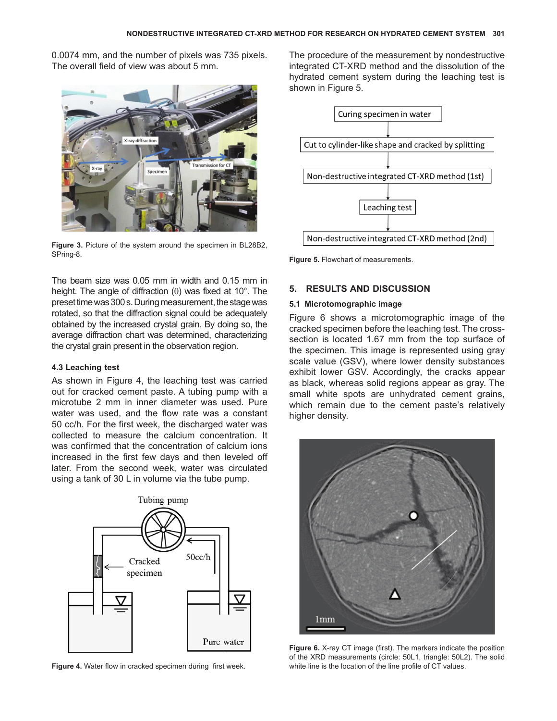0.0074 mm, and the number of pixels was 735 pixels. The overall field of view was about 5 mm.



**Figure 3.** Picture of the system around the specimen in BL28B2, SPring-8.

The beam size was 0.05 mm in width and 0.15 mm in height. The angle of diffraction  $(\theta)$  was fixed at 10°. The preset time was 300s. During measurement, the stage was rotated, so that the diffraction signal could be adequately obtained by the increased crystal grain. By doing so, the average diffraction chart was determined, characterizing the crystal grain present in the observation region.

#### **4.3 Leaching test**

As shown in Figure 4, the leaching test was carried out for cracked cement paste. A tubing pump with a microtube 2 mm in inner diameter was used. Pure water was used, and the flow rate was a constant 50 cc/h. For the first week, the discharged water was collected to measure the calcium concentration. It was confirmed that the concentration of calcium ions increased in the first few days and then leveled off later. From the second week, water was circulated using a tank of 30 L in volume via the tube pump.



**Figure 4.** Water flow in cracked specimen during first week.

The procedure of the measurement by nondestructive integrated CT-XRD method and the dissolution of the hydrated cement system during the leaching test is shown in Figure 5.



**Figure 5.** Flowchart of measurements.

## **5. RESULTS AND DISCUSSION**

### **5.1 Microtomographic image**

Figure 6 shows a microtomographic image of the cracked specimen before the leaching test. The crosssection is located 1.67 mm from the top surface of the specimen. This image is represented using gray scale value (GSV), where lower density substances exhibit lower GSV. Accordingly, the cracks appear as black, whereas solid regions appear as gray. The small white spots are unhydrated cement grains, which remain due to the cement paste's relatively higher density.



**Figure 6.** X-ray CT image (first). The markers indicate the position of the XRD measurements (circle: 50L1, triangle: 50L2). The solid white line is the location of the line profile of CT values.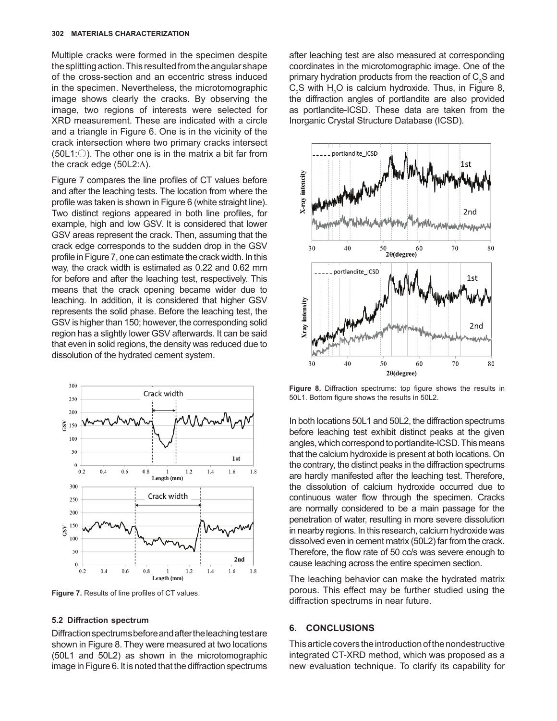Multiple cracks were formed in the specimen despite the splitting action. This resulted from the angular shape of the cross-section and an eccentric stress induced in the specimen. Nevertheless, the microtomographic image shows clearly the cracks. By observing the image, two regions of interests were selected for XRD measurement. These are indicated with a circle and a triangle in Figure 6. One is in the vicinity of the crack intersection where two primary cracks intersect  $(50L1:$  The other one is in the matrix a bit far from the crack edge  $(50L2:\Delta)$ .

Figure 7 compares the line profiles of CT values before and after the leaching tests. The location from where the profile was taken is shown in Figure 6 (white straight line). Two distinct regions appeared in both line profiles, for example, high and low GSV. It is considered that lower GSV areas represent the crack. Then, assuming that the crack edge corresponds to the sudden drop in the GSV profile in Figure 7, one can estimate the crack width. In this way, the crack width is estimated as 0.22 and 0.62 mm for before and after the leaching test, respectively. This means that the crack opening became wider due to leaching. In addition, it is considered that higher GSV represents the solid phase. Before the leaching test, the GSV is higher than 150; however, the corresponding solid region has a slightly lower GSV afterwards. It can be said that even in solid regions, the density was reduced due to dissolution of the hydrated cement system.



**Figure 7.** Results of line profiles of CT values.

#### **5.2 Diffraction spectrum**

Diffraction spectrums before and after the leaching test are shown in Figure 8. They were measured at two locations (50L1 and 50L2) as shown in the microtomographic image in Figure 6. It is noted that the diffraction spectrums

after leaching test are also measured at corresponding coordinates in the microtomographic image. One of the primary hydration products from the reaction of  $\mathsf{C}_3\mathsf{S}$  and  $C_2$ S with  $H_2O$  is calcium hydroxide. Thus, in Figure 8, the diffraction angles of portlandite are also provided as portlandite-ICSD. These data are taken from the Inorganic Crystal Structure Database (ICSD).



**Figure 8.** Diffraction spectrums: top figure shows the results in 50L1. Bottom figure shows the results in 50L2.

In both locations 50L1 and 50L2, the diffraction spectrums before leaching test exhibit distinct peaks at the given angles, which correspond to portlandite-ICSD. This means that the calcium hydroxide is present at both locations. On the contrary, the distinct peaks in the diffraction spectrums are hardly manifested after the leaching test. Therefore, the dissolution of calcium hydroxide occurred due to continuous water flow through the specimen. Cracks are normally considered to be a main passage for the penetration of water, resulting in more severe dissolution in nearby regions. In this research, calcium hydroxide was dissolved even in cement matrix (50L2) far from the crack. Therefore, the flow rate of 50 cc/s was severe enough to cause leaching across the entire specimen section.

The leaching behavior can make the hydrated matrix porous. This effect may be further studied using the diffraction spectrums in near future.

#### **6. CONCLUSIONS**

This article covers the introduction of the nondestructive integrated CT-XRD method, which was proposed as a new evaluation technique. To clarify its capability for